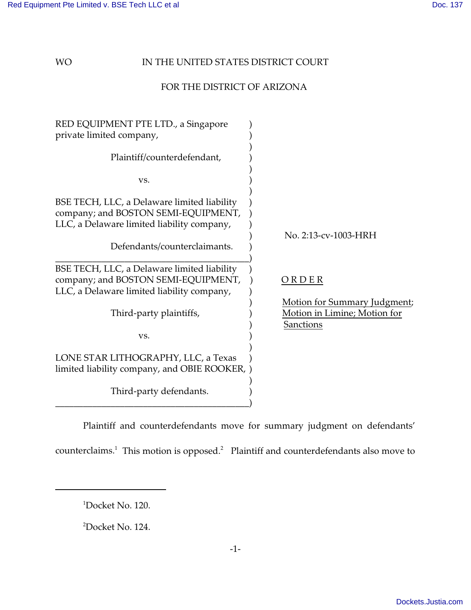### WO **IN THE UNITED STATES DISTRICT COURT**

# FOR THE DISTRICT OF ARIZONA

| RED EQUIPMENT PTE LTD., a Singapore<br>private limited company,                                                                  |                                                                                  |
|----------------------------------------------------------------------------------------------------------------------------------|----------------------------------------------------------------------------------|
| Plaintiff/counterdefendant,                                                                                                      |                                                                                  |
| VS.                                                                                                                              |                                                                                  |
| BSE TECH, LLC, a Delaware limited liability<br>company; and BOSTON SEMI-EQUIPMENT,<br>LLC, a Delaware limited liability company, |                                                                                  |
| Defendants/counterclaimants.                                                                                                     | No. 2:13-cv-1003-HRH                                                             |
| BSE TECH, LLC, a Delaware limited liability<br>company; and BOSTON SEMI-EQUIPMENT,<br>LLC, a Delaware limited liability company, | ORDER                                                                            |
| Third-party plaintiffs,                                                                                                          | Motion for Summary Judgment;<br>Motion in Limine; Motion for<br><b>Sanctions</b> |
| VS.                                                                                                                              |                                                                                  |
| LONE STAR LITHOGRAPHY, LLC, a Texas<br>limited liability company, and OBIE ROOKER, )                                             |                                                                                  |
| Third-party defendants.                                                                                                          |                                                                                  |

Plaintiff and counterdefendants move for summary judgment on defendants'

counterclaims.<sup>1</sup> This motion is opposed.<sup>2</sup> Plaintiff and counterdefendants also move to

<sup>1</sup>Docket No. 120.

<sup>2</sup>Docket No. 124.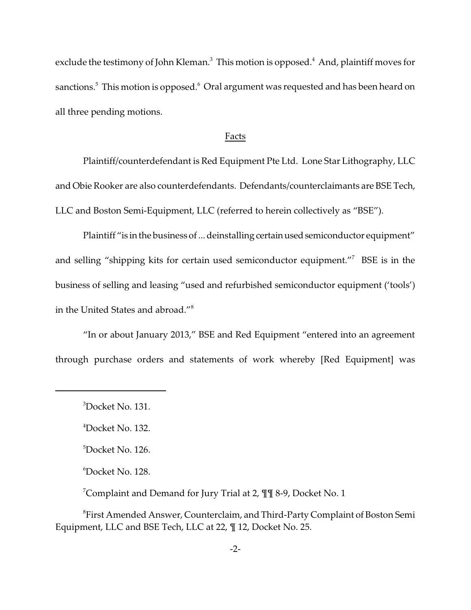exclude the testimony of John Kleman. $^3\,$  This motion is opposed. $^4\,$  And, plaintiff moves for sanctions. $^5$  This motion is opposed. $^6$  Oral argument was requested and has been heard on all three pending motions.

#### Facts

Plaintiff/counterdefendant is Red Equipment Pte Ltd. Lone Star Lithography, LLC and Obie Rooker are also counterdefendants. Defendants/counterclaimants are BSE Tech, LLC and Boston Semi-Equipment, LLC (referred to herein collectively as "BSE").

Plaintiff "is in the business of ... deinstalling certain used semiconductor equipment" and selling "shipping kits for certain used semiconductor equipment."<sup>7</sup> BSE is in the business of selling and leasing "used and refurbished semiconductor equipment ('tools') in the United States and abroad."<sup>8</sup>

"In or about January 2013," BSE and Red Equipment "entered into an agreement through purchase orders and statements of work whereby [Red Equipment] was

<sup>7</sup>Complaint and Demand for Jury Trial at 2,  $\P\P$  8-9, Docket No. 1

 ${}^8$ First Amended Answer, Counterclaim, and Third-Party Complaint of Boston Semi Equipment, LLC and BSE Tech, LLC at 22, ¶ 12, Docket No. 25.

 $3Docket$  No. 131.

<sup>4</sup>Docket No. 132.

<sup>&</sup>lt;sup>5</sup>Docket No. 126.

<sup>6</sup>Docket No. 128.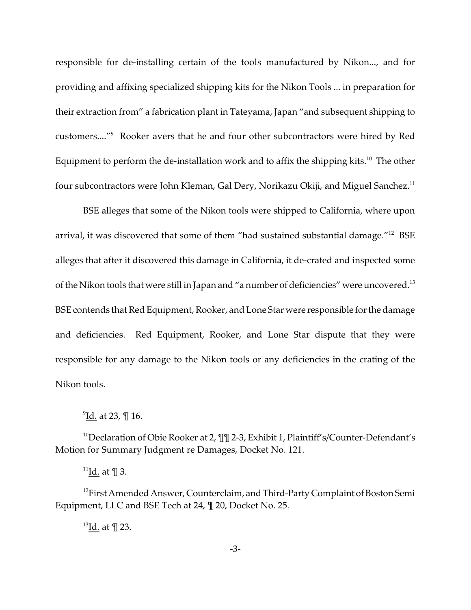responsible for de-installing certain of the tools manufactured by Nikon..., and for providing and affixing specialized shipping kits for the Nikon Tools ... in preparation for their extraction from" a fabrication plant in Tateyama, Japan "and subsequent shipping to customers...."<sup>9</sup> Rooker avers that he and four other subcontractors were hired by Red Equipment to perform the de-installation work and to affix the shipping kits.<sup>10</sup> The other four subcontractors were John Kleman, Gal Dery, Norikazu Okiji, and Miguel Sanchez.<sup>11</sup>

BSE alleges that some of the Nikon tools were shipped to California, where upon arrival, it was discovered that some of them "had sustained substantial damage."<sup>12</sup> BSE alleges that after it discovered this damage in California, it de-crated and inspected some of the Nikon tools that were still in Japan and "a number of deficiencies" were uncovered.<sup>13</sup> BSE contends that Red Equipment, Rooker, and Lone Star were responsible for the damage and deficiencies. Red Equipment, Rooker, and Lone Star dispute that they were responsible for any damage to the Nikon tools or any deficiencies in the crating of the Nikon tools.

<sup>10</sup>Declaration of Obie Rooker at 2,  $\mathbb{I}$  1 2-3, Exhibit 1, Plaintiff's/Counter-Defendant's Motion for Summary Judgment re Damages, Docket No. 121.

<sup>11</sup>Id. at ¶ 3.

<sup>12</sup>First Amended Answer, Counterclaim, and Third-Party Complaint of Boston Semi Equipment, LLC and BSE Tech at 24, ¶ 20, Docket No. 25.

 $^{13}$ Id. at ¶ 23.

<sup>&</sup>lt;sup>9</sup><u>Id.</u> at 23, ¶ 16.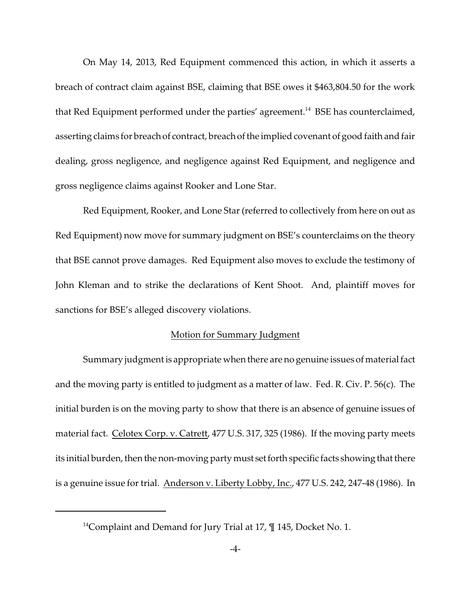On May 14, 2013, Red Equipment commenced this action, in which it asserts a breach of contract claim against BSE, claiming that BSE owes it \$463,804.50 for the work that Red Equipment performed under the parties' agreement.<sup>14</sup> BSE has counterclaimed, asserting claims for breach of contract, breach of the implied covenant of good faith and fair dealing, gross negligence, and negligence against Red Equipment, and negligence and gross negligence claims against Rooker and Lone Star.

Red Equipment, Rooker, and Lone Star (referred to collectively from here on out as Red Equipment) now move for summary judgment on BSE's counterclaims on the theory that BSE cannot prove damages. Red Equipment also moves to exclude the testimony of John Kleman and to strike the declarations of Kent Shoot. And, plaintiff moves for sanctions for BSE's alleged discovery violations.

#### Motion for Summary Judgment

Summary judgment is appropriate when there are no genuine issues of material fact and the moving party is entitled to judgment as a matter of law. Fed. R. Civ. P. 56(c). The initial burden is on the moving party to show that there is an absence of genuine issues of material fact. Celotex Corp. v. Catrett, 477 U.S. 317, 325 (1986). If the moving party meets its initial burden, then the non-moving party must set forth specific facts showing that there is a genuine issue for trial. Anderson v. Liberty Lobby, Inc., 477 U.S. 242, 247-48 (1986). In

<sup>&</sup>lt;sup>14</sup>Complaint and Demand for Jury Trial at 17,  $\P$  145, Docket No. 1.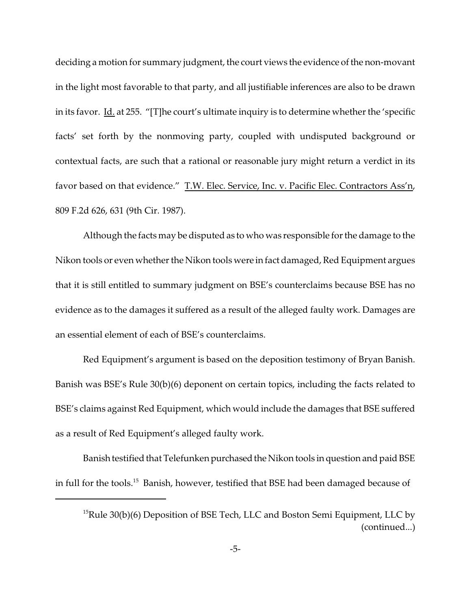deciding a motion for summary judgment, the court views the evidence of the non-movant in the light most favorable to that party, and all justifiable inferences are also to be drawn in its favor. Id. at 255. "[T]he court's ultimate inquiry is to determine whether the 'specific facts' set forth by the nonmoving party, coupled with undisputed background or contextual facts, are such that a rational or reasonable jury might return a verdict in its favor based on that evidence." T.W. Elec. Service, Inc. v. Pacific Elec. Contractors Ass'n, 809 F.2d 626, 631 (9th Cir. 1987).

Although the facts may be disputed as to who was responsible for the damage to the Nikon tools or even whether the Nikon tools were in fact damaged, Red Equipment argues that it is still entitled to summary judgment on BSE's counterclaims because BSE has no evidence as to the damages it suffered as a result of the alleged faulty work. Damages are an essential element of each of BSE's counterclaims.

Red Equipment's argument is based on the deposition testimony of Bryan Banish. Banish was BSE's Rule 30(b)(6) deponent on certain topics, including the facts related to BSE's claims against Red Equipment, which would include the damages that BSE suffered as a result of Red Equipment's alleged faulty work.

Banish testified that Telefunken purchased the Nikon tools in question and paid BSE in full for the tools.<sup>15</sup> Banish, however, testified that BSE had been damaged because of

 $15$ Rule 30(b)(6) Deposition of BSE Tech, LLC and Boston Semi Equipment, LLC by (continued...)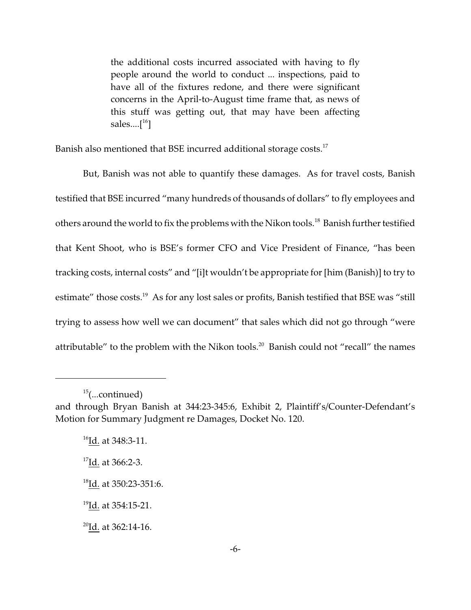the additional costs incurred associated with having to fly people around the world to conduct ... inspections, paid to have all of the fixtures redone, and there were significant concerns in the April-to-August time frame that, as news of this stuff was getting out, that may have been affecting sales.... $[$ <sup>16</sup>]

Banish also mentioned that BSE incurred additional storage costs.<sup>17</sup>

But, Banish was not able to quantify these damages. As for travel costs, Banish testified that BSE incurred "many hundreds of thousands of dollars" to fly employees and others around the world to fix the problems with the Nikon tools.<sup>18</sup> Banish further testified that Kent Shoot, who is BSE's former CFO and Vice President of Finance, "has been tracking costs, internal costs" and "[i]t wouldn't be appropriate for [him (Banish)] to try to estimate" those costs.<sup>19</sup> As for any lost sales or profits, Banish testified that BSE was "still trying to assess how well we can document" that sales which did not go through "were attributable" to the problem with the Nikon tools.<sup>20</sup> Banish could not "recall" the names

 $15$ (...continued)

and through Bryan Banish at 344:23-345:6, Exhibit 2, Plaintiff's/Counter-Defendant's Motion for Summary Judgment re Damages, Docket No. 120.

<sup>&</sup>lt;sup>16</sup>Id. at 348:3-11.

<sup>&</sup>lt;sup>17</sup>Id. at 366:2-3.

<sup>18</sup>Id. at 350:23-351:6.

<sup>&</sup>lt;sup>19</sup>Id. at 354:15-21.

 $^{20}$ Id. at 362:14-16.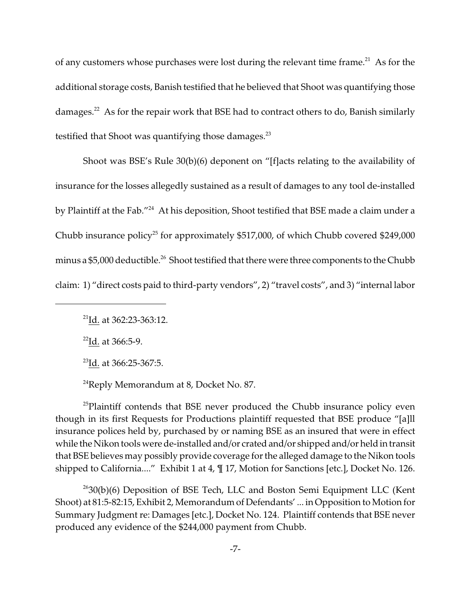of any customers whose purchases were lost during the relevant time frame.<sup>21</sup> As for the additional storage costs, Banish testified that he believed that Shoot was quantifying those damages.<sup>22</sup> As for the repair work that BSE had to contract others to do, Banish similarly testified that Shoot was quantifying those damages. $^{23}$ 

Shoot was BSE's Rule 30(b)(6) deponent on "[f]acts relating to the availability of insurance for the losses allegedly sustained as a result of damages to any tool de-installed by Plaintiff at the Fab."<sup>24</sup> At his deposition, Shoot testified that BSE made a claim under a Chubb insurance policy<sup>25</sup> for approximately \$517,000, of which Chubb covered \$249,000 minus a  $$5,000$  deductible.<sup>26</sup> Shoot testified that there were three components to the Chubb claim: 1) "direct costs paid to third-party vendors", 2) "travel costs", and 3) "internal labor

 $22$ Id. at 366:5-9.

<sup>23</sup>Id. at 366:25-367:5.

 $^{24}$ Reply Memorandum at 8, Docket No. 87.

<sup>25</sup>Plaintiff contends that BSE never produced the Chubb insurance policy even though in its first Requests for Productions plaintiff requested that BSE produce "[a]ll insurance polices held by, purchased by or naming BSE as an insured that were in effect while the Nikon tools were de-installed and/or crated and/or shipped and/or held in transit that BSE believes may possibly provide coverage for the alleged damage to the Nikon tools shipped to California...." Exhibit 1 at 4,  $\P$  17, Motion for Sanctions [etc.], Docket No. 126.

 $2630(b)(6)$  Deposition of BSE Tech, LLC and Boston Semi Equipment LLC (Kent Shoot) at 81:5-82:15, Exhibit 2, Memorandum of Defendants' ... in Opposition to Motion for Summary Judgment re: Damages [etc.], Docket No. 124. Plaintiff contends that BSE never produced any evidence of the \$244,000 payment from Chubb.

<sup>21</sup>Id. at 362:23-363:12.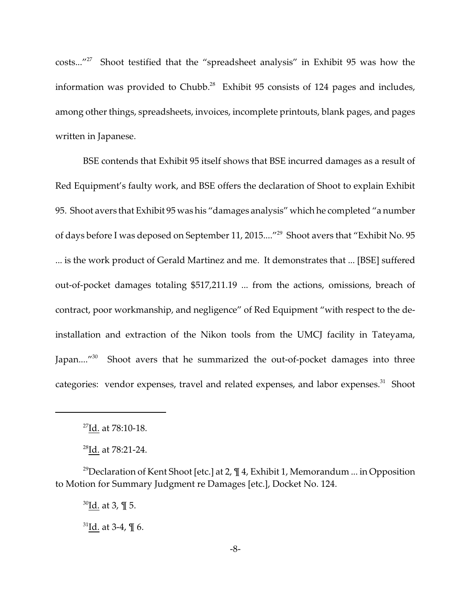costs..."<sup>27</sup> Shoot testified that the "spreadsheet analysis" in Exhibit 95 was how the information was provided to Chubb.<sup>28</sup> Exhibit 95 consists of 124 pages and includes, among other things, spreadsheets, invoices, incomplete printouts, blank pages, and pages written in Japanese.

BSE contends that Exhibit 95 itself shows that BSE incurred damages as a result of Red Equipment's faulty work, and BSE offers the declaration of Shoot to explain Exhibit 95. Shoot avers that Exhibit 95 was his "damages analysis" which he completed "a number of days before I was deposed on September 11, 2015...."<sup>29</sup> Shoot avers that "Exhibit No. 95 ... is the work product of Gerald Martinez and me. It demonstrates that ... [BSE] suffered out-of-pocket damages totaling \$517,211.19 ... from the actions, omissions, breach of contract, poor workmanship, and negligence" of Red Equipment "with respect to the deinstallation and extraction of the Nikon tools from the UMCJ facility in Tateyama, Japan....<sup>"30</sup> Shoot avers that he summarized the out-of-pocket damages into three categories: vendor expenses, travel and related expenses, and labor expenses.<sup>31</sup> Shoot

 $30$ Id. at 3, ¶ 5.

 $31$ Id. at 3-4, ¶ 6.

<sup>27</sup>Id. at 78:10-18.

<sup>28</sup>Id. at 78:21-24.

<sup>&</sup>lt;sup>29</sup>Declaration of Kent Shoot [etc.] at 2,  $\P$  4, Exhibit 1, Memorandum ... in Opposition to Motion for Summary Judgment re Damages [etc.], Docket No. 124.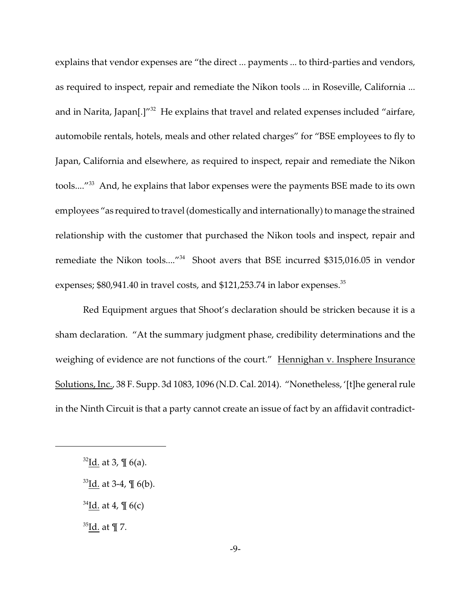explains that vendor expenses are "the direct ... payments ... to third-parties and vendors, as required to inspect, repair and remediate the Nikon tools ... in Roseville, California ... and in Narita, Japan[.]"<sup>32</sup> He explains that travel and related expenses included "airfare, automobile rentals, hotels, meals and other related charges" for "BSE employees to fly to Japan, California and elsewhere, as required to inspect, repair and remediate the Nikon tools....<sup>"33</sup> And, he explains that labor expenses were the payments BSE made to its own employees "as required to travel (domestically and internationally) to manage the strained relationship with the customer that purchased the Nikon tools and inspect, repair and remediate the Nikon tools...."<sup>34</sup> Shoot avers that BSE incurred \$315,016.05 in vendor expenses;  $$80,941.40$  in travel costs, and  $$121,253.74$  in labor expenses. $^{35}$ 

Red Equipment argues that Shoot's declaration should be stricken because it is a sham declaration. "At the summary judgment phase, credibility determinations and the weighing of evidence are not functions of the court." Hennighan v. Insphere Insurance Solutions, Inc., 38 F. Supp. 3d 1083, 1096 (N.D. Cal. 2014). "Nonetheless, '[t]he general rule in the Ninth Circuit is that a party cannot create an issue of fact by an affidavit contradict-

 $34$ Id. at 4, ¶ 6(c)

 $35$ Id. at ¶ 7.

 $32$ Id. at 3, ¶ 6(a).

 $33$ Id. at 3-4,  $\text{\degree\!\!\!\!/}\,$  6(b).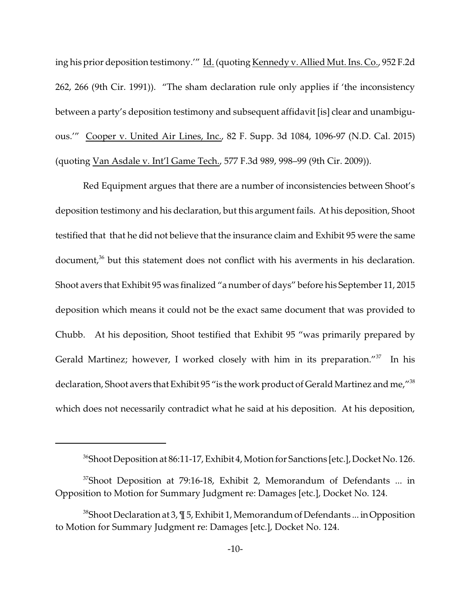ing his prior deposition testimony.'" Id. (quoting Kennedy v. Allied Mut. Ins. Co., 952 F.2d 262, 266 (9th Cir. 1991)). "The sham declaration rule only applies if 'the inconsistency between a party's deposition testimony and subsequent affidavit [is] clear and unambiguous.'" Cooper v. United Air Lines, Inc., 82 F. Supp. 3d 1084, 1096-97 (N.D. Cal. 2015) (quoting Van Asdale v. Int'l Game Tech., 577 F.3d 989, 998–99 (9th Cir. 2009)).

Red Equipment argues that there are a number of inconsistencies between Shoot's deposition testimony and his declaration, but this argument fails. At his deposition, Shoot testified that that he did not believe that the insurance claim and Exhibit 95 were the same document,<sup>36</sup> but this statement does not conflict with his averments in his declaration. Shoot avers that Exhibit 95 was finalized "a number of days" before his September 11, 2015 deposition which means it could not be the exact same document that was provided to Chubb. At his deposition, Shoot testified that Exhibit 95 "was primarily prepared by Gerald Martinez; however, I worked closely with him in its preparation."<sup>37</sup> In his declaration, Shoot avers that Exhibit 95 "is the work product of Gerald Martinez and me,"<sup>38</sup> which does not necessarily contradict what he said at his deposition. At his deposition,

<sup>&</sup>lt;sup>36</sup>Shoot Deposition at 86:11-17, Exhibit 4, Motion for Sanctions [etc.], Docket No. 126.

 $37$ Shoot Deposition at 79:16-18, Exhibit 2, Memorandum of Defendants ... in Opposition to Motion for Summary Judgment re: Damages [etc.], Docket No. 124.

 $38$ Shoot Declaration at 3,  $\P$  5, Exhibit 1, Memorandum of Defendants ... in Opposition to Motion for Summary Judgment re: Damages [etc.], Docket No. 124.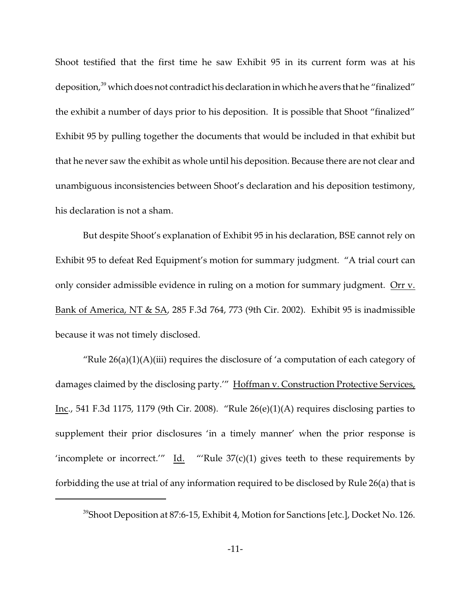Shoot testified that the first time he saw Exhibit 95 in its current form was at his deposition,<sup>39</sup> which does not contradict his declaration in which he avers that he "finalized" the exhibit a number of days prior to his deposition. It is possible that Shoot "finalized" Exhibit 95 by pulling together the documents that would be included in that exhibit but that he never saw the exhibit as whole until his deposition. Because there are not clear and unambiguous inconsistencies between Shoot's declaration and his deposition testimony, his declaration is not a sham.

But despite Shoot's explanation of Exhibit 95 in his declaration, BSE cannot rely on Exhibit 95 to defeat Red Equipment's motion for summary judgment. "A trial court can only consider admissible evidence in ruling on a motion for summary judgment. Orr v. Bank of America, NT & SA, 285 F.3d 764, 773 (9th Cir. 2002). Exhibit 95 is inadmissible because it was not timely disclosed.

"Rule  $26(a)(1)(A)(iii)$  requires the disclosure of 'a computation of each category of damages claimed by the disclosing party.'" Hoffman v. Construction Protective Services, Inc., 541 F.3d 1175, 1179 (9th Cir. 2008). "Rule 26(e)(1)(A) requires disclosing parties to supplement their prior disclosures 'in a timely manner' when the prior response is 'incomplete or incorrect.'"  $\underline{Id}$ . "'Rule 37(c)(1) gives teeth to these requirements by forbidding the use at trial of any information required to be disclosed by Rule 26(a) that is

<sup>&</sup>lt;sup>39</sup>Shoot Deposition at 87:6-15, Exhibit 4, Motion for Sanctions [etc.], Docket No. 126.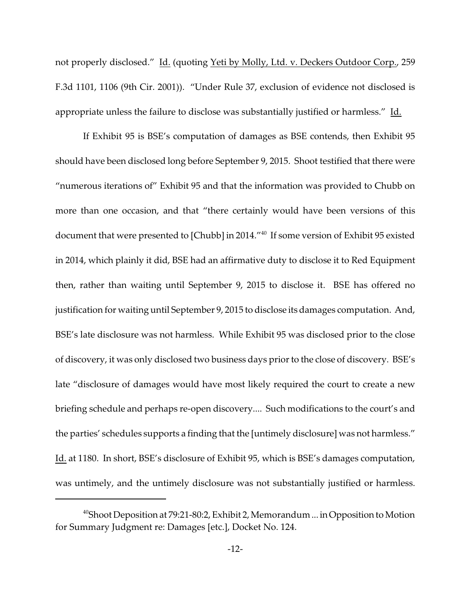not properly disclosed." Id. (quoting Yeti by Molly, Ltd. v. Deckers Outdoor Corp., 259 F.3d 1101, 1106 (9th Cir. 2001)). "Under Rule 37, exclusion of evidence not disclosed is appropriate unless the failure to disclose was substantially justified or harmless." Id.

If Exhibit 95 is BSE's computation of damages as BSE contends, then Exhibit 95 should have been disclosed long before September 9, 2015. Shoot testified that there were "numerous iterations of" Exhibit 95 and that the information was provided to Chubb on more than one occasion, and that "there certainly would have been versions of this document that were presented to [Chubb] in 2014."<sup>40</sup> If some version of Exhibit 95 existed in 2014, which plainly it did, BSE had an affirmative duty to disclose it to Red Equipment then, rather than waiting until September 9, 2015 to disclose it. BSE has offered no justification for waiting until September 9, 2015 to disclose its damages computation. And, BSE's late disclosure was not harmless. While Exhibit 95 was disclosed prior to the close of discovery, it was only disclosed two business days prior to the close of discovery. BSE's late "disclosure of damages would have most likely required the court to create a new briefing schedule and perhaps re-open discovery.... Such modifications to the court's and the parties' schedules supports a finding that the [untimely disclosure] was not harmless." Id. at 1180. In short, BSE's disclosure of Exhibit 95, which is BSE's damages computation, was untimely, and the untimely disclosure was not substantially justified or harmless.

<sup>40</sup>Shoot Deposition at 79:21-80:2, Exhibit 2, Memorandum ... in Opposition to Motion for Summary Judgment re: Damages [etc.], Docket No. 124.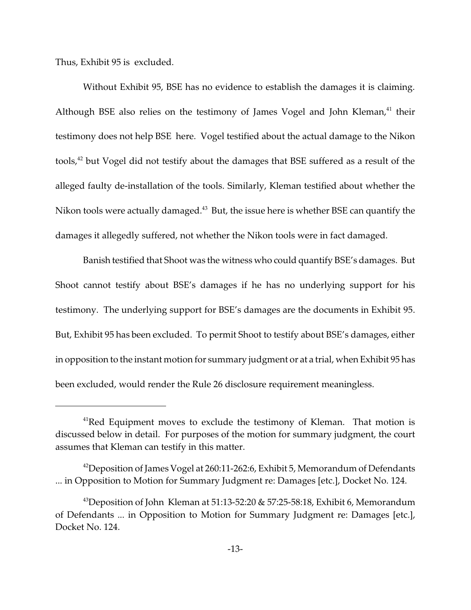Thus, Exhibit 95 is excluded.

Without Exhibit 95, BSE has no evidence to establish the damages it is claiming. Although BSE also relies on the testimony of James Vogel and John Kleman, $41$  their testimony does not help BSE here. Vogel testified about the actual damage to the Nikon tools,<sup>42</sup> but Vogel did not testify about the damages that BSE suffered as a result of the alleged faulty de-installation of the tools. Similarly, Kleman testified about whether the Nikon tools were actually damaged.<sup>43</sup> But, the issue here is whether BSE can quantify the damages it allegedly suffered, not whether the Nikon tools were in fact damaged.

Banish testified that Shoot was the witness who could quantify BSE's damages. But Shoot cannot testify about BSE's damages if he has no underlying support for his testimony. The underlying support for BSE's damages are the documents in Exhibit 95. But, Exhibit 95 has been excluded. To permit Shoot to testify about BSE's damages, either in opposition to the instant motion for summary judgment or at a trial, when Exhibit 95 has been excluded, would render the Rule 26 disclosure requirement meaningless.

 $41$ Red Equipment moves to exclude the testimony of Kleman. That motion is discussed below in detail. For purposes of the motion for summary judgment, the court assumes that Kleman can testify in this matter.

<sup>&</sup>lt;sup>42</sup>Deposition of James Vogel at 260:11-262:6, Exhibit 5, Memorandum of Defendants ... in Opposition to Motion for Summary Judgment re: Damages [etc.], Docket No. 124.

<sup>&</sup>lt;sup>43</sup>Deposition of John Kleman at 51:13-52:20 & 57:25-58:18, Exhibit 6, Memorandum of Defendants ... in Opposition to Motion for Summary Judgment re: Damages [etc.], Docket No. 124.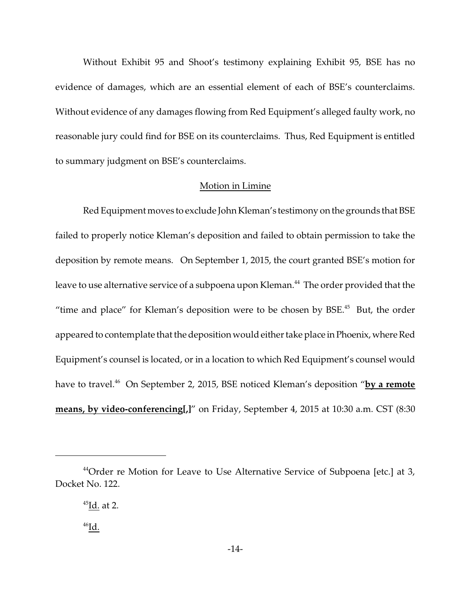Without Exhibit 95 and Shoot's testimony explaining Exhibit 95, BSE has no evidence of damages, which are an essential element of each of BSE's counterclaims. Without evidence of any damages flowing from Red Equipment's alleged faulty work, no reasonable jury could find for BSE on its counterclaims. Thus, Red Equipment is entitled to summary judgment on BSE's counterclaims.

### Motion in Limine

Red Equipment moves to exclude John Kleman's testimony on the grounds that BSE failed to properly notice Kleman's deposition and failed to obtain permission to take the deposition by remote means. On September 1, 2015, the court granted BSE's motion for leave to use alternative service of a subpoena upon Kleman.<sup>44</sup> The order provided that the "time and place" for Kleman's deposition were to be chosen by  $BSE<sup>45</sup>$  But, the order appeared to contemplate that the deposition would either take place in Phoenix, where Red Equipment's counsel is located, or in a location to which Red Equipment's counsel would have to travel.<sup>46</sup> On September 2, 2015, BSE noticed Kleman's deposition "**by a remote means, by video-conferencing[,]**" on Friday, September 4, 2015 at 10:30 a.m. CST (8:30

 $44$ Order re Motion for Leave to Use Alternative Service of Subpoena [etc.] at 3, Docket No. 122.

 $45$ Id. at 2.

 $^{46}$ Id.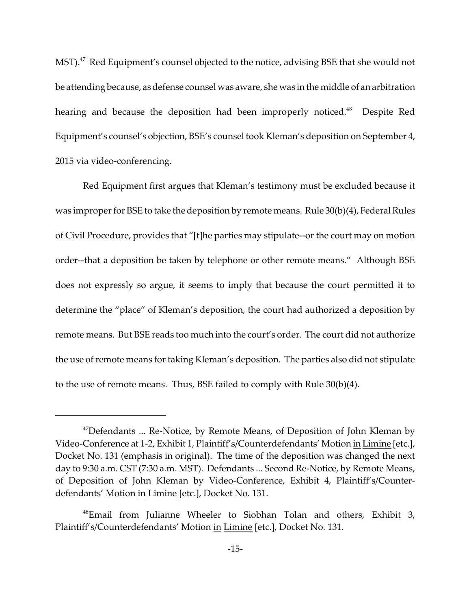MST).<sup>47</sup> Red Equipment's counsel objected to the notice, advising BSE that she would not be attending because, as defense counsel was aware, she was in the middle of an arbitration hearing and because the deposition had been improperly noticed.<sup>48</sup> Despite Red Equipment's counsel's objection, BSE's counsel took Kleman's deposition on September 4, 2015 via video-conferencing.

Red Equipment first argues that Kleman's testimony must be excluded because it was improper for BSE to take the deposition by remote means. Rule 30(b)(4), Federal Rules of Civil Procedure, provides that "[t]he parties may stipulate--or the court may on motion order--that a deposition be taken by telephone or other remote means." Although BSE does not expressly so argue, it seems to imply that because the court permitted it to determine the "place" of Kleman's deposition, the court had authorized a deposition by remote means. But BSE reads too much into the court's order. The court did not authorize the use of remote means for taking Kleman's deposition. The parties also did not stipulate to the use of remote means. Thus, BSE failed to comply with Rule 30(b)(4).

 $47$ Defendants ... Re-Notice, by Remote Means, of Deposition of John Kleman by Video-Conference at 1-2, Exhibit 1, Plaintiff's/Counterdefendants' Motion in Limine [etc.], Docket No. 131 (emphasis in original). The time of the deposition was changed the next day to 9:30 a.m. CST (7:30 a.m. MST). Defendants ... Second Re-Notice, by Remote Means, of Deposition of John Kleman by Video-Conference, Exhibit 4, Plaintiff's/Counterdefendants' Motion in Limine [etc.], Docket No. 131.

<sup>48</sup>Email from Julianne Wheeler to Siobhan Tolan and others, Exhibit 3, Plaintiff's/Counterdefendants' Motion in Limine [etc.], Docket No. 131.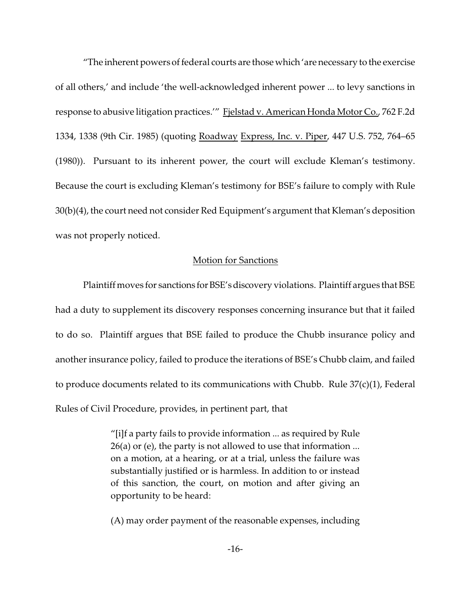"The inherent powers of federal courts are those which 'are necessary to the exercise of all others,' and include 'the well-acknowledged inherent power ... to levy sanctions in response to abusive litigation practices.'" Fjelstad v. American Honda Motor Co., 762 F.2d 1334, 1338 (9th Cir. 1985) (quoting Roadway Express, Inc. v. Piper, 447 U.S. 752, 764–65 (1980)). Pursuant to its inherent power, the court will exclude Kleman's testimony. Because the court is excluding Kleman's testimony for BSE's failure to comply with Rule 30(b)(4), the court need not consider Red Equipment's argument that Kleman's deposition was not properly noticed.

#### Motion for Sanctions

Plaintiff moves for sanctions for BSE's discovery violations. Plaintiff argues that BSE had a duty to supplement its discovery responses concerning insurance but that it failed to do so. Plaintiff argues that BSE failed to produce the Chubb insurance policy and another insurance policy, failed to produce the iterations of BSE's Chubb claim, and failed to produce documents related to its communications with Chubb. Rule  $37(c)(1)$ , Federal Rules of Civil Procedure, provides, in pertinent part, that

> "[i]f a party fails to provide information ... as required by Rule 26(a) or (e), the party is not allowed to use that information ... on a motion, at a hearing, or at a trial, unless the failure was substantially justified or is harmless. In addition to or instead of this sanction, the court, on motion and after giving an opportunity to be heard:

> (A) may order payment of the reasonable expenses, including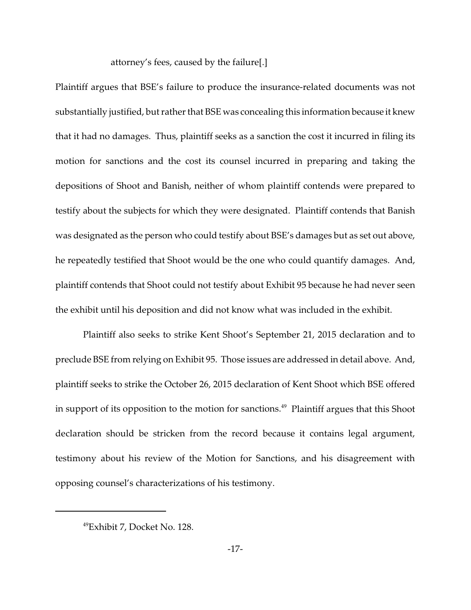attorney's fees, caused by the failure[.]

Plaintiff argues that BSE's failure to produce the insurance-related documents was not substantially justified, but rather that BSE was concealing this information because it knew that it had no damages. Thus, plaintiff seeks as a sanction the cost it incurred in filing its motion for sanctions and the cost its counsel incurred in preparing and taking the depositions of Shoot and Banish, neither of whom plaintiff contends were prepared to testify about the subjects for which they were designated. Plaintiff contends that Banish was designated as the person who could testify about BSE's damages but as set out above, he repeatedly testified that Shoot would be the one who could quantify damages. And, plaintiff contends that Shoot could not testify about Exhibit 95 because he had never seen the exhibit until his deposition and did not know what was included in the exhibit.

Plaintiff also seeks to strike Kent Shoot's September 21, 2015 declaration and to preclude BSE from relying on Exhibit 95. Those issues are addressed in detail above. And, plaintiff seeks to strike the October 26, 2015 declaration of Kent Shoot which BSE offered in support of its opposition to the motion for sanctions.<sup>49</sup> Plaintiff argues that this Shoot declaration should be stricken from the record because it contains legal argument, testimony about his review of the Motion for Sanctions, and his disagreement with opposing counsel's characterizations of his testimony.

<sup>49</sup>Exhibit 7, Docket No. 128.